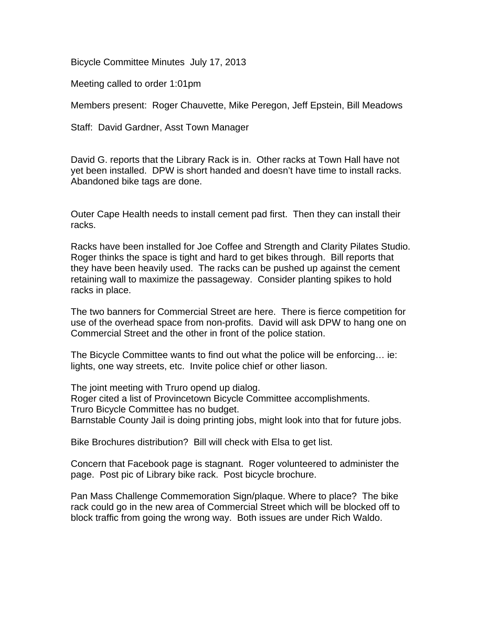Bicycle Committee Minutes July 17, 2013

Meeting called to order 1:01pm

Members present: Roger Chauvette, Mike Peregon, Jeff Epstein, Bill Meadows

Staff: David Gardner, Asst Town Manager

David G. reports that the Library Rack is in. Other racks at Town Hall have not yet been installed. DPW is short handed and doesn't have time to install racks. Abandoned bike tags are done.

Outer Cape Health needs to install cement pad first. Then they can install their racks.

Racks have been installed for Joe Coffee and Strength and Clarity Pilates Studio. Roger thinks the space is tight and hard to get bikes through. Bill reports that they have been heavily used. The racks can be pushed up against the cement retaining wall to maximize the passageway. Consider planting spikes to hold racks in place.

The two banners for Commercial Street are here. There is fierce competition for use of the overhead space from non-profits. David will ask DPW to hang one on Commercial Street and the other in front of the police station.

The Bicycle Committee wants to find out what the police will be enforcing… ie: lights, one way streets, etc. Invite police chief or other liason.

The joint meeting with Truro opend up dialog. Roger cited a list of Provincetown Bicycle Committee accomplishments. Truro Bicycle Committee has no budget. Barnstable County Jail is doing printing jobs, might look into that for future jobs.

Bike Brochures distribution? Bill will check with Elsa to get list.

Concern that Facebook page is stagnant. Roger volunteered to administer the page. Post pic of Library bike rack. Post bicycle brochure.

Pan Mass Challenge Commemoration Sign/plaque. Where to place? The bike rack could go in the new area of Commercial Street which will be blocked off to block traffic from going the wrong way. Both issues are under Rich Waldo.